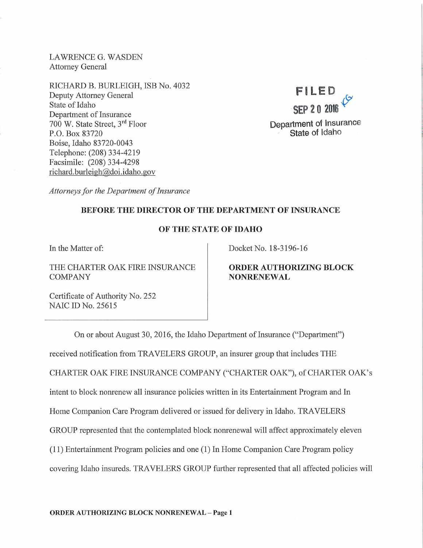LAWRENCE G. WASDEN Attorney General

RICHARD B. BURLEIGH, ISB No. 4032 Deputy Attorney General State of Idaho Department of Insurance 700 W. State Street, 3<sup>rd</sup> Floor P.O. Box 83720 Boise, Idaho 83720-0043 Telephone: (208) 334-4219 Facsimile: (208) 334-4298 richard. burleigh@doi.idaho.gov



*Attorneys for the Department of Insurance* 

## BEFORE THE DIRECTOR OF THE DEPARTMENT OF INSURANCE

## OF THE STATE OF IDAHO

In the Matter of:

THE CHARTER OAK FIRE INSURANCE COMPANY

Docket No. 18-3196-16

# ORDER AUTHORIZING BLOCK NONRENEWAL

Certificate of Authority No. 252 NAIC ID No. 25615

On or about August 30, 2016, the Idaho Department of Insurance ("Department") received notification from TRAVELERS GROUP, an insurer group that includes THE CHARTER OAK FIRE INSURANCE COMPANY ("CHARTER OAK"), of CHARTER OAK's intent to block nonrenew all insurance policies written in its Entertainment Program and In Home Companion Care Program delivered or issued for delivery in Idaho. TRAVELERS GROUP represented that the contemplated block nomenewal will affect approximately eleven  $(11)$  Entertainment Program policies and one  $(1)$  In Home Companion Care Program policy covering Idaho insureds. TRAVELERS GROUP further represented that all affected policies will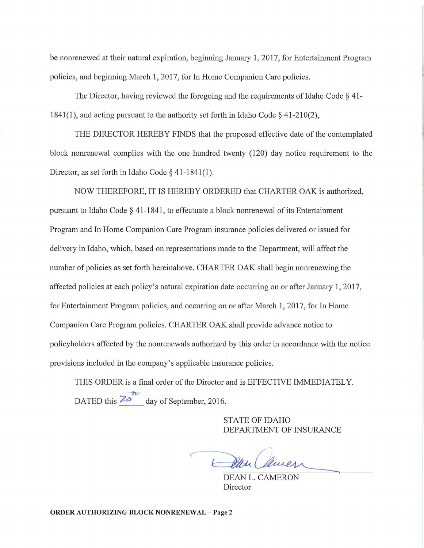be nonrenewed at their natural expiration, beginning January 1, 2017, for Entertainment Program policies, and beginning March 1, 2017, for In Home Companion Care policies.

The Director, having reviewed the foregoing and the requirements of Idaho Code § 41- 1841(1), and acting pursuant to the authority set forth in Idaho Code  $\S$  41-210(2),

THE DIRECTOR HEREBY FINDS that the proposed effective date of the contemplated block nonrenewal complies with the one hundred twenty (120) day notice requirement to the Director, as set forth in Idaho Code§ 41-1841(1).

NOW THEREFORE, IT IS HEREBY ORDERED that CHARTER OAK is authorized, pursuant to Idaho Code  $\S$  41-1841, to effectuate a block nonrenewal of its Entertainment Program and In Home Companion Care Program insurance policies delivered or issued for delivery in Idaho, which, based on representations made to the Department, will affect the number of policies as set forth hereinabove. CHARTER OAK shall begin nonrenewing the affected policies at each policy's natural expiration date occurring on or after January 1, 2017, for Entertainment Program policies, and occurring on or after March 1, 2017, for In Home Companion Care Program policies. CHARTER OAK shall provide advance notice to policyholders affected by the nonrenewals authorized by this order in accordance with the notice provisions included in the company's applicable insurance policies.

THIS ORDER is a final order of the Director and is EFFECTIVE IMMEDIATELY.  $\boldsymbol{\kappa}$ DATED this  $\frac{70}{ }$  day of September, 2016.

> STATE OF IDAHO DEPARTMENT OF INSURANCE

Jan Camer

DEAN L. CAMERON Director

**ORDER AUTHORIZING BLOCK NONRENEWAL - Page 2**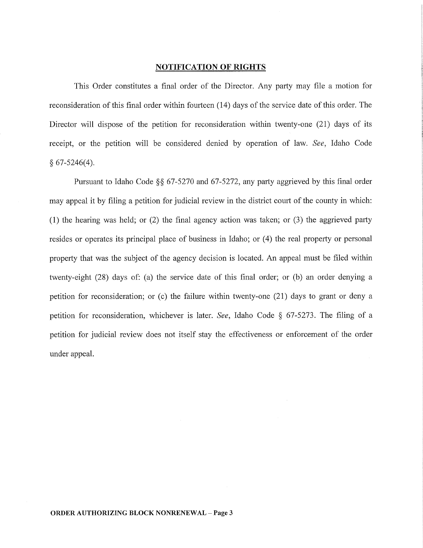#### **NOTIFICATION OF RIGHTS**

This Order constitutes a final order of the Director. Any party may file a motion for reconsideration of this final order within fourteen (14) days of the service date of this order. The Director will dispose of the petition for reconsideration within twenty-one (21) days of its receipt, or the petition will be considered denied by operation of law. *See,* Idaho Code  $§ 67-5246(4).$ 

Pursuant to Idaho Code  $\S\S 67-5270$  and 67-5272, any party aggrieved by this final order may appeal it by filing a petition for judicial review in the district court of the county in which: (1) the hearing was held; or  $(2)$  the final agency action was taken; or  $(3)$  the aggrieved party resides or operates its principal place of business in Idaho; or (4) the real property or personal property that was the subject of the agency decision is located. An appeal must be filed within twenty-eight (28) days of: (a) the service date of this final order; or (b) an order denying a petition for reconsideration; or (c) the failure within twenty-one (21) days to grant or deny a petition for reconsideration, whichever is later. *See,* Idaho Code § 67-5273. The filing of a petition for judicial review does not itself stay the effectiveness or enforcement of the order under appeal.